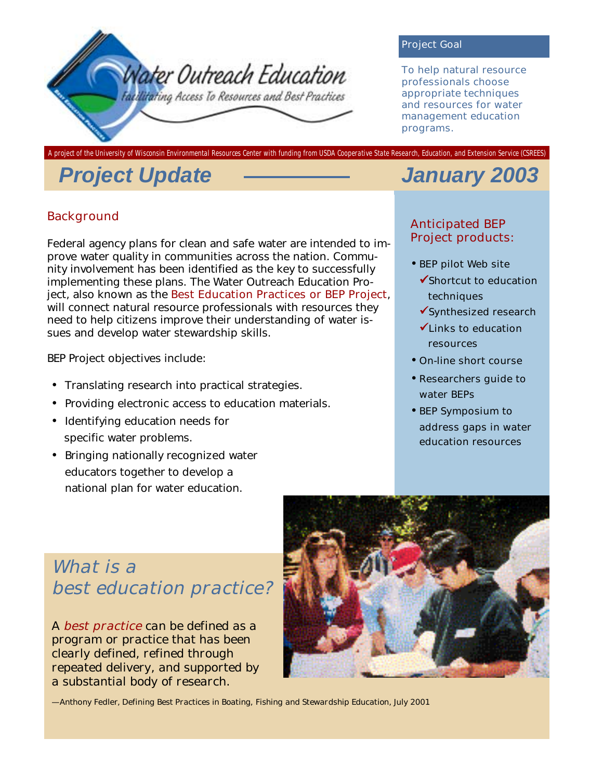

#### Project Goal

To help natural resource professionals choose appropriate techniques and resources for water management education programs.

**A project of the University of Wisconsin Environmental Resources Center with funding from USDA Cooperative State Research, Education, and Extension Service (CSREES)** 

# *Project Update January 2003*

#### Background

Federal agency plans for clean and safe water are intended to improve water quality in communities across the nation. Community involvement has been identified as the key to successfully implementing these plans. The Water Outreach Education Project, also known as the Best Education Practices or BEP Project, will connect natural resource professionals with resources they need to help citizens improve their understanding of water issues and develop water stewardship skills.

BEP Project objectives include:

- Translating research into practical strategies.
- Providing electronic access to education materials.
- Identifying education needs for specific water problems.
- Bringing nationally recognized water educators together to develop a national plan for water education.

#### Anticipated BEP Project products:

- BEP pilot Web site
	- $\checkmark$ Shortcut to education techniques
	- $\checkmark$  Synthesized research
	- $\checkmark$  Links to education resources
- On-line short course
- Researchers guide to water BEPs
- BEP Symposium to address gaps in water education resources

# *What is a best education practice?*

*A best practice can be defined as a program or practice that has been clearly defined, refined through repeated delivery, and supported by a substantial body of research.* 



—Anthony Fedler, *Defining Best Practices in Boating, Fishing and Stewardship Education*, July 2001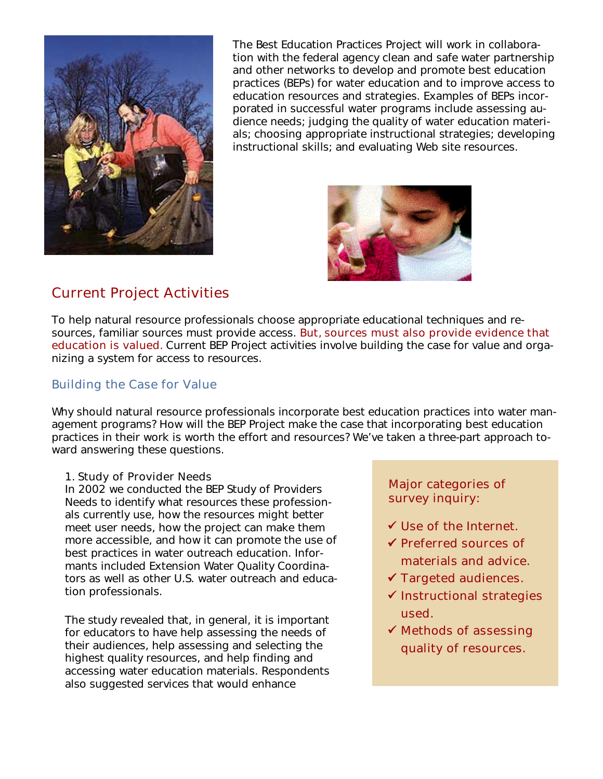

The Best Education Practices Project will work in collaboration with the federal agency clean and safe water partnership and other networks to develop and promote best education practices (BEPs) for water education and to improve access to education resources and strategies. Examples of BEPs incorporated in successful water programs include assessing audience needs; judging the quality of water education materials; choosing appropriate instructional strategies; developing instructional skills; and evaluating Web site resources.



## Current Project Activities

To help natural resource professionals choose appropriate educational techniques and resources, familiar sources must provide access. But, sources must also provide evidence that education is valued. Current BEP Project activities involve building the case for value and organizing a system for access to resources.

#### Building the Case for Value

Why should natural resource professionals incorporate best education practices into water management programs? How will the BEP Project make the case that incorporating best education practices in their work is worth the effort and resources? We've taken a three-part approach toward answering these questions.

#### 1. Study of Provider Needs

In 2002 we conducted the BEP Study of Providers Needs to identify what resources these professionals currently use, how the resources might better meet user needs, how the project can make them more accessible, and how it can promote the use of best practices in water outreach education. Informants included Extension Water Quality Coordinators as well as other U.S. water outreach and education professionals.

The study revealed that, in general, it is important for educators to have help assessing the needs of their audiences, help assessing and selecting the highest quality resources, and help finding and accessing water education materials. Respondents also suggested services that would enhance

Major categories of survey inquiry:

- $\checkmark$  Use of the Internet.
- $\checkmark$  Preferred sources of materials and advice.
- $\checkmark$  Targeted audiences.
- $\checkmark$  Instructional strategies used.
- $\checkmark$  Methods of assessing quality of resources.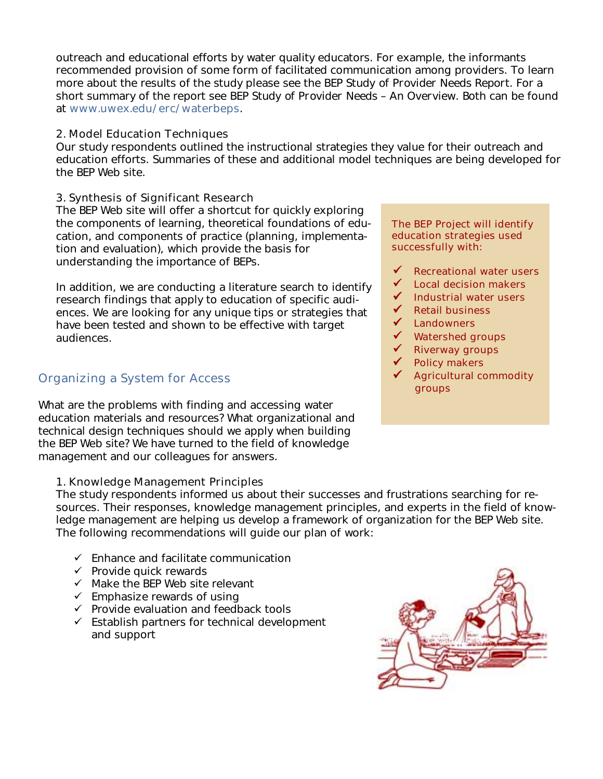outreach and educational efforts by water quality educators. For example, the informants recommended provision of some form of facilitated communication among providers. To learn more about the results of the study please see the *BEP Study of Provider Needs Report*. For a short summary of the report see *BEP Study of Provider Needs – An Overview*. Both can be found at www.uwex.edu/erc/waterbeps.

#### 2. Model Education Techniques

Our study respondents outlined the instructional strategies they value for their outreach and education efforts. Summaries of these and additional model techniques are being developed for the BEP Web site.

#### 3. Synthesis of Significant Research

The BEP Web site will offer a shortcut for quickly exploring the components of learning, theoretical foundations of education, and components of practice (planning, implementation and evaluation), which provide the basis for understanding the importance of BEPs.

In addition, we are conducting a literature search to identify research findings that apply to education of specific audiences. We are looking for any unique tips or strategies that have been tested and shown to be effective with target audiences.

### Organizing a System for Access

What are the problems with finding and accessing water education materials and resources? What organizational and technical design techniques should we apply when building the BEP Web site? We have turned to the field of knowledge management and our colleagues for answers.

#### 1. Knowledge Management Principles

The BEP Project will identify education strategies used successfully with:

- $\checkmark$  Recreational water users
- $\checkmark$  Local decision makers
- $\checkmark$  Industrial water users
- $\checkmark$  Retail business
- ✔ Landowners
- $\checkmark$  Watershed groups
- $\checkmark$  Riverway groups
- $\checkmark$  Policy makers
- Agricultural commodity groups

The study respondents informed us about their successes and frustrations searching for resources. Their responses, knowledge management principles, and experts in the field of knowledge management are helping us develop a framework of organization for the BEP Web site. The following recommendations will guide our plan of work:

- $\checkmark$  Enhance and facilitate communication
- $\checkmark$  Provide quick rewards
- $\checkmark$  Make the BEP Web site relevant
- $\checkmark$  Emphasize rewards of using
- $\checkmark$  Provide evaluation and feedback tools
- $\checkmark$  Establish partners for technical development and support